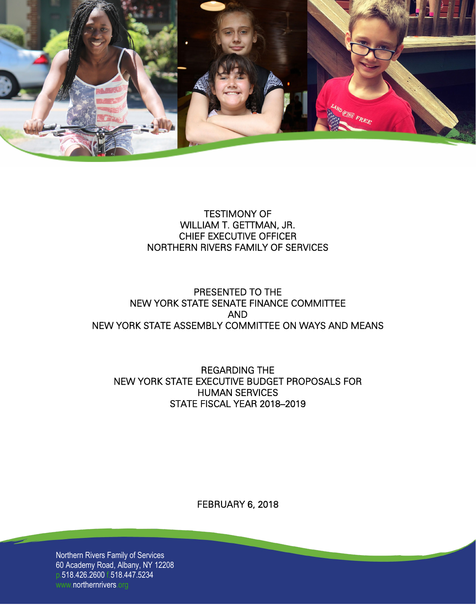

### TESTIMONY OF WILLIAM T. GETTMAN, JR. CHIEF EXECUTIVE OFFICER NORTHERN RIVERS FAMILY OF SERVICES

### PRESENTED TO THE NEW YORK STATE SENATE FINANCE COMMITTEE AND NEW YORK STATE ASSEMBLY COMMITTEE ON WAYS AND MEANS

REGARDING THE NEW YORK STATE EXECUTIVE BUDGET PROPOSALS FOR HUMAN SERVICES STATE FISCAL YEAR 2018–2019

FEBRUARY 6, 2018

Northern Rivers Family of Services 60 Academy Road, Albany, NY 12208 p.518.426.2600 f.518.447.5234 www.northernrivers.org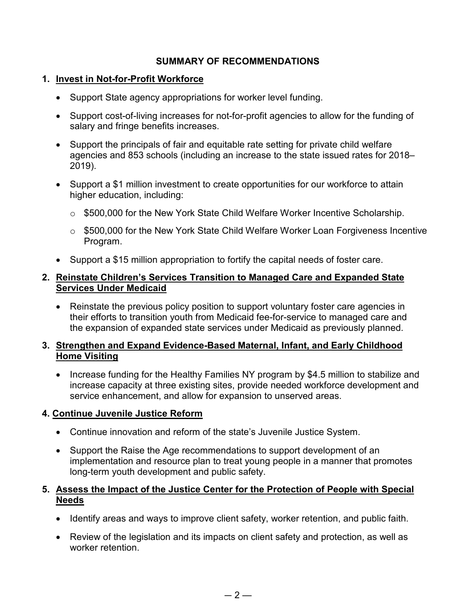### **SUMMARY OF RECOMMENDATIONS**

### **1. Invest in Not-for-Profit Workforce**

- Support State agency appropriations for worker level funding.
- Support cost-of-living increases for not-for-profit agencies to allow for the funding of salary and fringe benefits increases.
- Support the principals of fair and equitable rate setting for private child welfare agencies and 853 schools (including an increase to the state issued rates for 2018– 2019).
- Support a \$1 million investment to create opportunities for our workforce to attain higher education, including:
	- o \$500,000 for the New York State Child Welfare Worker Incentive Scholarship.
	- \$500,000 for the New York State Child Welfare Worker Loan Forgiveness Incentive Program.
- Support a \$15 million appropriation to fortify the capital needs of foster care.

### **2. Reinstate Children's Services Transition to Managed Care and Expanded State Services Under Medicaid**

• Reinstate the previous policy position to support voluntary foster care agencies in their efforts to transition youth from Medicaid fee-for-service to managed care and the expansion of expanded state services under Medicaid as previously planned.

### **3. Strengthen and Expand Evidence-Based Maternal, Infant, and Early Childhood Home Visiting**

• Increase funding for the Healthy Families NY program by \$4.5 million to stabilize and increase capacity at three existing sites, provide needed workforce development and service enhancement, and allow for expansion to unserved areas.

### **4. Continue Juvenile Justice Reform**

- Continue innovation and reform of the state's Juvenile Justice System.
- Support the Raise the Age recommendations to support development of an implementation and resource plan to treat young people in a manner that promotes long-term youth development and public safety.

### **5. Assess the Impact of the Justice Center for the Protection of People with Special Needs**

- Identify areas and ways to improve client safety, worker retention, and public faith.
- Review of the legislation and its impacts on client safety and protection, as well as worker retention.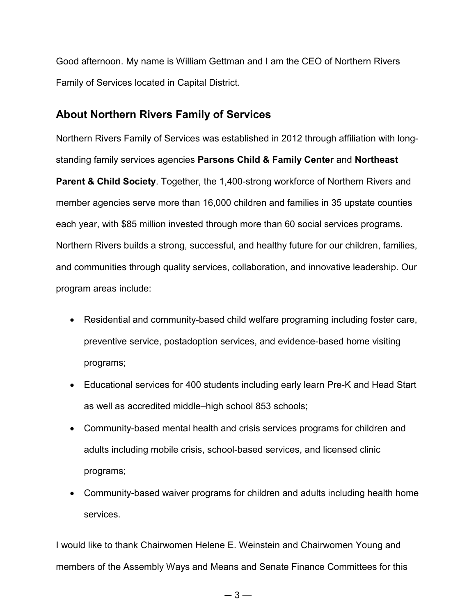Good afternoon. My name is William Gettman and I am the CEO of Northern Rivers Family of Services located in Capital District.

### **About Northern Rivers Family of Services**

Northern Rivers Family of Services was established in 2012 through affiliation with longstanding family services agencies **Parsons Child & Family Center** and **Northeast Parent & Child Society**. Together, the 1,400-strong workforce of Northern Rivers and member agencies serve more than 16,000 children and families in 35 upstate counties each year, with \$85 million invested through more than 60 social services programs. Northern Rivers builds a strong, successful, and healthy future for our children, families, and communities through quality services, collaboration, and innovative leadership. Our program areas include:

- Residential and community-based child welfare programing including foster care, preventive service, postadoption services, and evidence-based home visiting programs;
- Educational services for 400 students including early learn Pre-K and Head Start as well as accredited middle–high school 853 schools;
- Community-based mental health and crisis services programs for children and adults including mobile crisis, school-based services, and licensed clinic programs;
- Community-based waiver programs for children and adults including health home services.

I would like to thank Chairwomen Helene E. Weinstein and Chairwomen Young and members of the Assembly Ways and Means and Senate Finance Committees for this

 $-3-$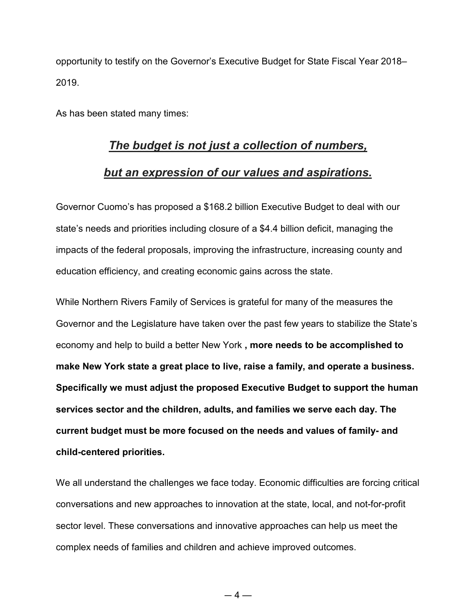opportunity to testify on the Governor's Executive Budget for State Fiscal Year 2018– 2019.

As has been stated many times:

# *[The budget is not just a collection of numbers,](https://www.brainyquote.com/quotes/jacob_lew_442942)*

## *[but an expression of our values and aspirations.](https://www.brainyquote.com/quotes/jacob_lew_442942)*

Governor Cuomo's has proposed a \$168.2 billion Executive Budget to deal with our state's needs and priorities including closure of a \$4.4 billion deficit, managing the impacts of the federal proposals, improving the infrastructure, increasing county and education efficiency, and creating economic gains across the state.

While Northern Rivers Family of Services is grateful for many of the measures the Governor and the Legislature have taken over the past few years to stabilize the State's economy and help to build a better New York **, more needs to be accomplished to make New York state a great place to live, raise a family, and operate a business. Specifically we must adjust the proposed Executive Budget to support the human services sector and the children, adults, and families we serve each day. The current budget must be more focused on the needs and values of family- and child-centered priorities.**

We all understand the challenges we face today. Economic difficulties are forcing critical conversations and new approaches to innovation at the state, local, and not-for-profit sector level. These conversations and innovative approaches can help us meet the complex needs of families and children and achieve improved outcomes.

 $-4-$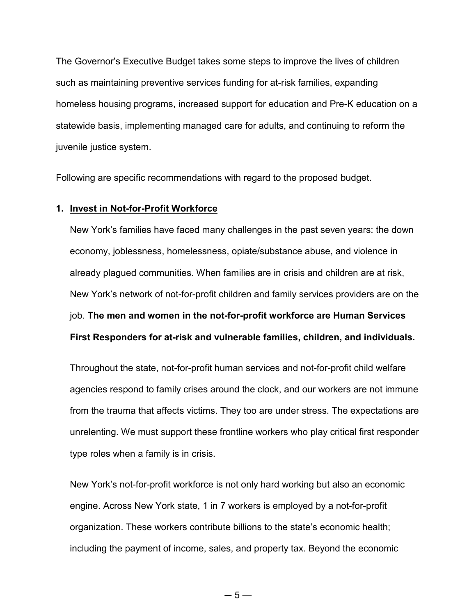The Governor's Executive Budget takes some steps to improve the lives of children such as maintaining preventive services funding for at-risk families, expanding homeless housing programs, increased support for education and Pre-K education on a statewide basis, implementing managed care for adults, and continuing to reform the juvenile justice system.

Following are specific recommendations with regard to the proposed budget.

#### **1. Invest in Not-for-Profit Workforce**

New York's families have faced many challenges in the past seven years: the down economy, joblessness, homelessness, opiate/substance abuse, and violence in already plagued communities. When families are in crisis and children are at risk, New York's network of not-for-profit children and family services providers are on the job. **The men and women in the not-for-profit workforce are Human Services First Responders for at-risk and vulnerable families, children, and individuals.**

Throughout the state, not-for-profit human services and not-for-profit child welfare agencies respond to family crises around the clock, and our workers are not immune from the trauma that affects victims. They too are under stress. The expectations are unrelenting. We must support these frontline workers who play critical first responder type roles when a family is in crisis.

New York's not-for-profit workforce is not only hard working but also an economic engine. Across New York state, 1 in 7 workers is employed by a not-for-profit organization. These workers contribute billions to the state's economic health; including the payment of income, sales, and property tax. Beyond the economic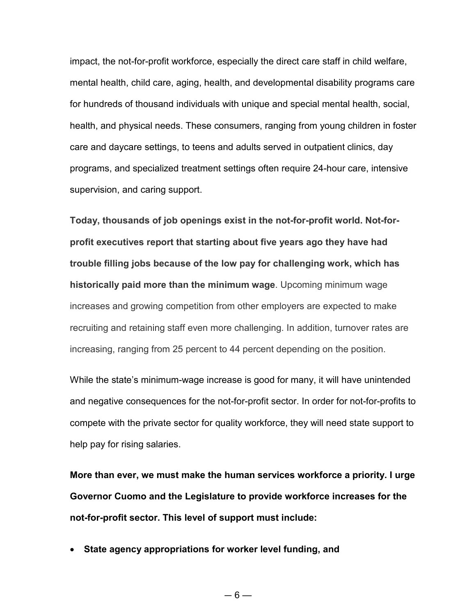impact, the not-for-profit workforce, especially the direct care staff in child welfare, mental health, child care, aging, health, and developmental disability programs care for hundreds of thousand individuals with unique and special mental health, social, health, and physical needs. These consumers, ranging from young children in foster care and daycare settings, to teens and adults served in outpatient clinics, day programs, and specialized treatment settings often require 24-hour care, intensive supervision, and caring support.

**Today, thousands of job openings exist in the not-for-profit world. Not-forprofit executives report that starting about five years ago they have had trouble filling jobs because of the low pay for challenging work, which has historically paid more than the minimum wage**. Upcoming minimum wage increases and growing competition from other employers are expected to make recruiting and retaining staff even more challenging. In addition, turnover rates are increasing, ranging from 25 percent to 44 percent depending on the position.

While the state's minimum-wage increase is good for many, it will have unintended and negative consequences for the not-for-profit sector. In order for not-for-profits to compete with the private sector for quality workforce, they will need state support to help pay for rising salaries.

**More than ever, we must make the human services workforce a priority. I urge Governor Cuomo and the Legislature to provide workforce increases for the not-for-profit sector. This level of support must include:**

• **State agency appropriations for worker level funding, and**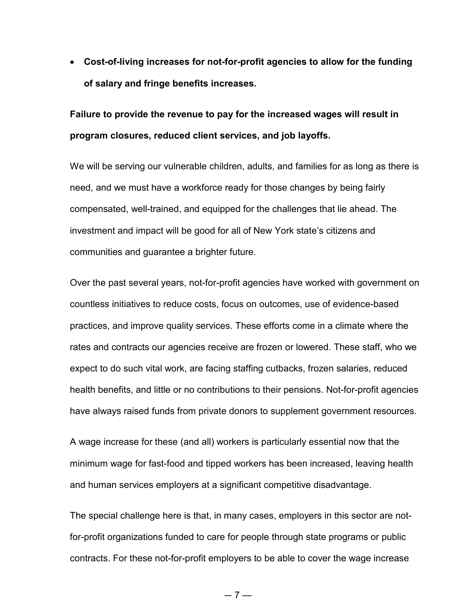• **Cost-of-living increases for not-for-profit agencies to allow for the funding of salary and fringe benefits increases.**

## **Failure to provide the revenue to pay for the increased wages will result in program closures, reduced client services, and job layoffs.**

We will be serving our vulnerable children, adults, and families for as long as there is need, and we must have a workforce ready for those changes by being fairly compensated, well-trained, and equipped for the challenges that lie ahead. The investment and impact will be good for all of New York state's citizens and communities and guarantee a brighter future.

Over the past several years, not-for-profit agencies have worked with government on countless initiatives to reduce costs, focus on outcomes, use of evidence-based practices, and improve quality services. These efforts come in a climate where the rates and contracts our agencies receive are frozen or lowered. These staff, who we expect to do such vital work, are facing staffing cutbacks, frozen salaries, reduced health benefits, and little or no contributions to their pensions. Not-for-profit agencies have always raised funds from private donors to supplement government resources.

A wage increase for these (and all) workers is particularly essential now that the minimum wage for fast-food and tipped workers has been increased, leaving health and human services employers at a significant competitive disadvantage.

The special challenge here is that, in many cases, employers in this sector are notfor-profit organizations funded to care for people through state programs or public contracts. For these not-for-profit employers to be able to cover the wage increase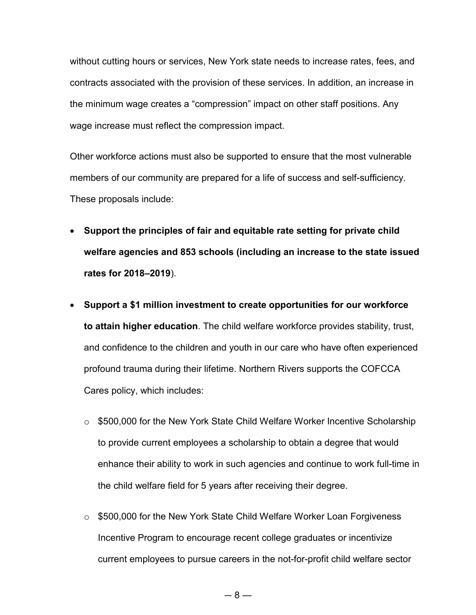without cutting hours or services, New York state needs to increase rates, fees, and contracts associated with the provision of these services. In addition, an increase in the minimum wage creates a "compression" impact on other staff positions. Any wage increase must reflect the compression impact.

Other workforce actions must also be supported to ensure that the most vulnerable members of our community are prepared for a life of success and self-sufficiency. These proposals include:

- **Support the principles of fair and equitable rate setting for private child welfare agencies and 853 schools (including an increase to the state issued rates for 2018–2019**).
- **Support a \$1 million investment to create opportunities for our workforce to attain higher education**. The child welfare workforce provides stability, trust, and confidence to the children and youth in our care who have often experienced profound trauma during their lifetime. Northern Rivers supports the COFCCA Cares policy, which includes:
	- \$500,000 for the New York State Child Welfare Worker Incentive Scholarship to provide current employees a scholarship to obtain a degree that would enhance their ability to work in such agencies and continue to work full-time in the child welfare field for 5 years after receiving their degree.
	- o \$500,000 for the New York State Child Welfare Worker Loan Forgiveness Incentive Program to encourage recent college graduates or incentivize current employees to pursue careers in the not-for-profit child welfare sector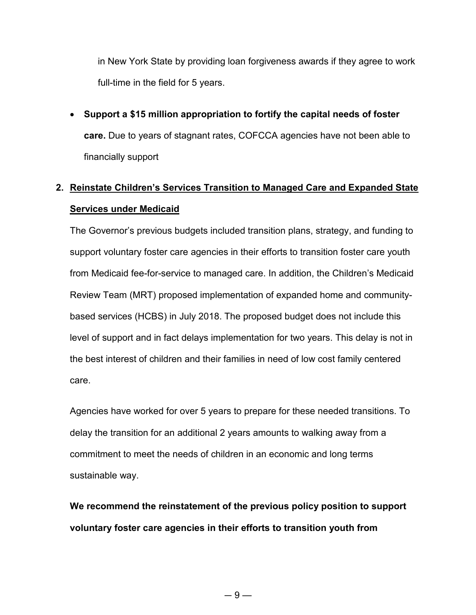in New York State by providing loan forgiveness awards if they agree to work full-time in the field for 5 years.

• **Support a \$15 million appropriation to fortify the capital needs of foster care.** Due to years of stagnant rates, COFCCA agencies have not been able to financially support

# **2. Reinstate Children's Services Transition to Managed Care and Expanded State Services under Medicaid**

The Governor's previous budgets included transition plans, strategy, and funding to support voluntary foster care agencies in their efforts to transition foster care youth from Medicaid fee-for-service to managed care. In addition, the Children's Medicaid Review Team (MRT) proposed implementation of expanded home and communitybased services (HCBS) in July 2018. The proposed budget does not include this level of support and in fact delays implementation for two years. This delay is not in the best interest of children and their families in need of low cost family centered care.

Agencies have worked for over 5 years to prepare for these needed transitions. To delay the transition for an additional 2 years amounts to walking away from a commitment to meet the needs of children in an economic and long terms sustainable way.

**We recommend the reinstatement of the previous policy position to support voluntary foster care agencies in their efforts to transition youth from**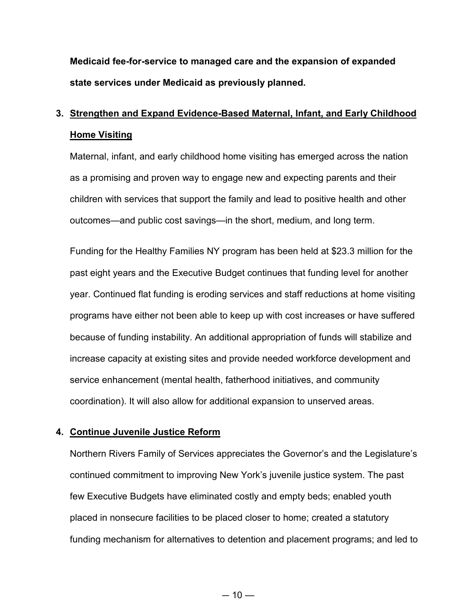**Medicaid fee-for-service to managed care and the expansion of expanded state services under Medicaid as previously planned.**

## **3. Strengthen and Expand Evidence-Based Maternal, Infant, and Early Childhood Home Visiting**

Maternal, infant, and early childhood home visiting has emerged across the nation as a promising and proven way to engage new and expecting parents and their children with services that support the family and lead to positive health and other outcomes—and public cost savings—in the short, medium, and long term.

Funding for the Healthy Families NY program has been held at \$23.3 million for the past eight years and the Executive Budget continues that funding level for another year. Continued flat funding is eroding services and staff reductions at home visiting programs have either not been able to keep up with cost increases or have suffered because of funding instability. An additional appropriation of funds will stabilize and increase capacity at existing sites and provide needed workforce development and service enhancement (mental health, fatherhood initiatives, and community coordination). It will also allow for additional expansion to unserved areas.

### **4. Continue Juvenile Justice Reform**

Northern Rivers Family of Services appreciates the Governor's and the Legislature's continued commitment to improving New York's juvenile justice system. The past few Executive Budgets have eliminated costly and empty beds; enabled youth placed in nonsecure facilities to be placed closer to home; created a statutory funding mechanism for alternatives to detention and placement programs; and led to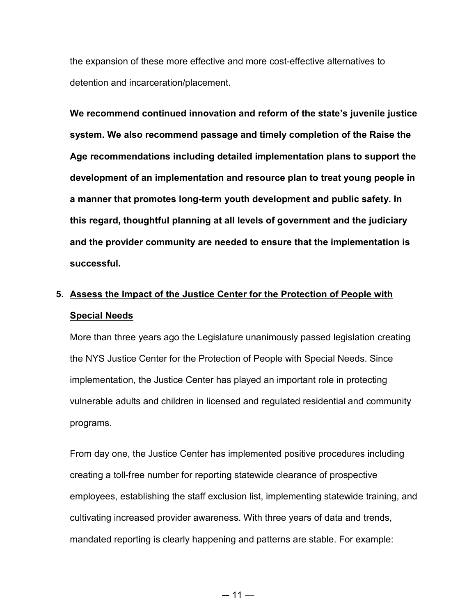the expansion of these more effective and more cost-effective alternatives to detention and incarceration/placement.

**We recommend continued innovation and reform of the state's juvenile justice system. We also recommend passage and timely completion of the Raise the Age recommendations including detailed implementation plans to support the development of an implementation and resource plan to treat young people in a manner that promotes long-term youth development and public safety. In this regard, thoughtful planning at all levels of government and the judiciary and the provider community are needed to ensure that the implementation is successful.**

## **5. Assess the Impact of the Justice Center for the Protection of People with Special Needs**

More than three years ago the Legislature unanimously passed legislation creating the NYS Justice Center for the Protection of People with Special Needs. Since implementation, the Justice Center has played an important role in protecting vulnerable adults and children in licensed and regulated residential and community programs.

From day one, the Justice Center has implemented positive procedures including creating a toll-free number for reporting statewide clearance of prospective employees, establishing the staff exclusion list, implementing statewide training, and cultivating increased provider awareness. With three years of data and trends, mandated reporting is clearly happening and patterns are stable. For example: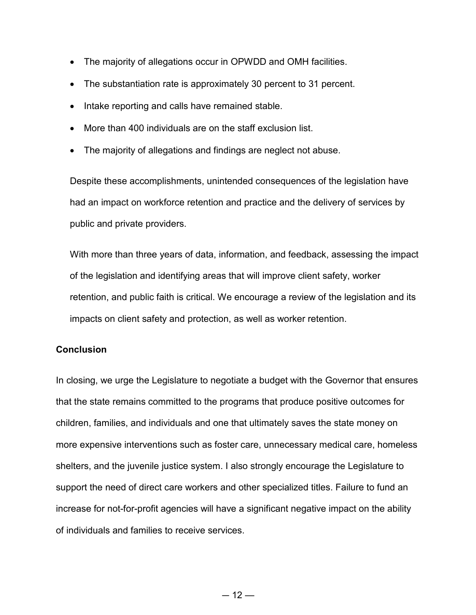- The majority of allegations occur in OPWDD and OMH facilities.
- The substantiation rate is approximately 30 percent to 31 percent.
- Intake reporting and calls have remained stable.
- More than 400 individuals are on the staff exclusion list.
- The majority of allegations and findings are neglect not abuse.

Despite these accomplishments, unintended consequences of the legislation have had an impact on workforce retention and practice and the delivery of services by public and private providers.

With more than three years of data, information, and feedback, assessing the impact of the legislation and identifying areas that will improve client safety, worker retention, and public faith is critical. We encourage a review of the legislation and its impacts on client safety and protection, as well as worker retention.

### **Conclusion**

In closing, we urge the Legislature to negotiate a budget with the Governor that ensures that the state remains committed to the programs that produce positive outcomes for children, families, and individuals and one that ultimately saves the state money on more expensive interventions such as foster care, unnecessary medical care, homeless shelters, and the juvenile justice system. I also strongly encourage the Legislature to support the need of direct care workers and other specialized titles. Failure to fund an increase for not-for-profit agencies will have a significant negative impact on the ability of individuals and families to receive services.